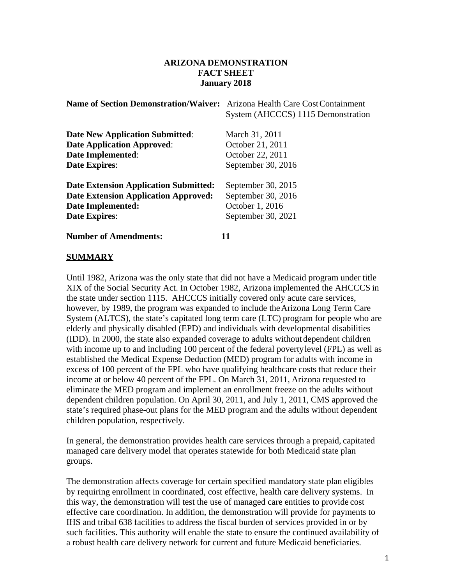## **ARIZONA DEMONSTRATION FACT SHEET January 2018**

| <b>Name of Section Demonstration/Waiver:</b> | Arizona Health Care Cost Containment<br>System (AHCCCS) 1115 Demonstration |
|----------------------------------------------|----------------------------------------------------------------------------|
| <b>Date New Application Submitted:</b>       | March 31, 2011                                                             |
| <b>Date Application Approved:</b>            | October 21, 2011                                                           |
| <b>Date Implemented:</b>                     | October 22, 2011                                                           |
| <b>Date Expires:</b>                         | September 30, 2016                                                         |
| <b>Date Extension Application Submitted:</b> | September 30, 2015                                                         |
| <b>Date Extension Application Approved:</b>  | September 30, 2016                                                         |
| Date Implemented:                            | October 1, 2016                                                            |
| <b>Date Expires:</b>                         | September 30, 2021                                                         |
| <b>Number of Amendments:</b>                 |                                                                            |

## **SUMMARY**

Until 1982, Arizona was the only state that did not have a Medicaid program under title XIX of the Social Security Act. In October 1982, Arizona implemented the AHCCCS in the state under section 1115. AHCCCS initially covered only acute care services, however, by 1989, the program was expanded to include theArizona Long Term Care System (ALTCS), the state's capitated long term care (LTC) program for people who are elderly and physically disabled (EPD) and individuals with developmental disabilities (IDD). In 2000, the state also expanded coverage to adults without dependent children with income up to and including 100 percent of the federal povertylevel (FPL) as well as established the Medical Expense Deduction (MED) program for adults with income in excess of 100 percent of the FPL who have qualifying healthcare costs that reduce their income at or below 40 percent of the FPL. On March 31, 2011, Arizona requested to eliminate the MED program and implement an enrollment freeze on the adults without dependent children population. On April 30, 2011, and July 1, 2011, CMS approved the state's required phase-out plans for the MED program and the adults without dependent children population, respectively.

In general, the demonstration provides health care services through a prepaid, capitated managed care delivery model that operates statewide for both Medicaid state plan groups.

The demonstration affects coverage for certain specified mandatory state plan eligibles by requiring enrollment in coordinated, cost effective, health care delivery systems. In this way, the demonstration will test the use of managed care entities to provide cost effective care coordination. In addition, the demonstration will provide for payments to IHS and tribal 638 facilities to address the fiscal burden of services provided in or by such facilities. This authority will enable the state to ensure the continued availability of a robust health care delivery network for current and future Medicaid beneficiaries.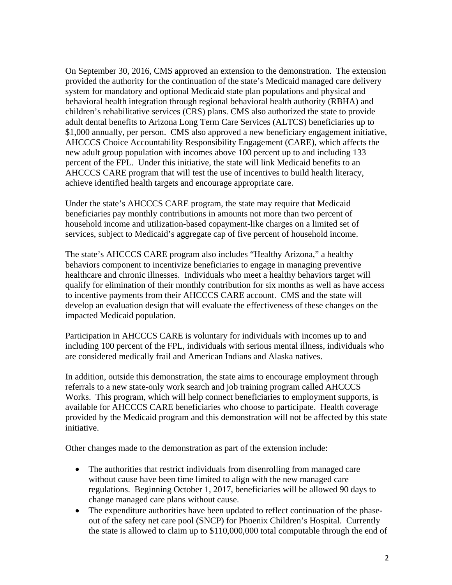On September 30, 2016, CMS approved an extension to the demonstration. The extension provided the authority for the continuation of the state's Medicaid managed care delivery system for mandatory and optional Medicaid state plan populations and physical and behavioral health integration through regional behavioral health authority (RBHA) and children's rehabilitative services (CRS) plans. CMS also authorized the state to provide adult dental benefits to Arizona Long Term Care Services (ALTCS) beneficiaries up to \$1,000 annually, per person. CMS also approved a new beneficiary engagement initiative, AHCCCS Choice Accountability Responsibility Engagement (CARE), which affects the new adult group population with incomes above 100 percent up to and including 133 percent of the FPL. Under this initiative, the state will link Medicaid benefits to an AHCCCS CARE program that will test the use of incentives to build health literacy, achieve identified health targets and encourage appropriate care.

Under the state's AHCCCS CARE program, the state may require that Medicaid beneficiaries pay monthly contributions in amounts not more than two percent of household income and utilization-based copayment-like charges on a limited set of services, subject to Medicaid's aggregate cap of five percent of household income.

The state's AHCCCS CARE program also includes "Healthy Arizona," a healthy behaviors component to incentivize beneficiaries to engage in managing preventive healthcare and chronic illnesses. Individuals who meet a healthy behaviors target will qualify for elimination of their monthly contribution for six months as well as have access to incentive payments from their AHCCCS CARE account. CMS and the state will develop an evaluation design that will evaluate the effectiveness of these changes on the impacted Medicaid population.

Participation in AHCCCS CARE is voluntary for individuals with incomes up to and including 100 percent of the FPL, individuals with serious mental illness, individuals who are considered medically frail and American Indians and Alaska natives.

In addition, outside this demonstration, the state aims to encourage employment through referrals to a new state-only work search and job training program called AHCCCS Works. This program, which will help connect beneficiaries to employment supports, is available for AHCCCS CARE beneficiaries who choose to participate. Health coverage provided by the Medicaid program and this demonstration will not be affected by this state initiative.

Other changes made to the demonstration as part of the extension include:

- The authorities that restrict individuals from disenrolling from managed care without cause have been time limited to align with the new managed care regulations. Beginning October 1, 2017, beneficiaries will be allowed 90 days to change managed care plans without cause.
- The expenditure authorities have been updated to reflect continuation of the phaseout of the safety net care pool (SNCP) for Phoenix Children's Hospital. Currently the state is allowed to claim up to \$110,000,000 total computable through the end of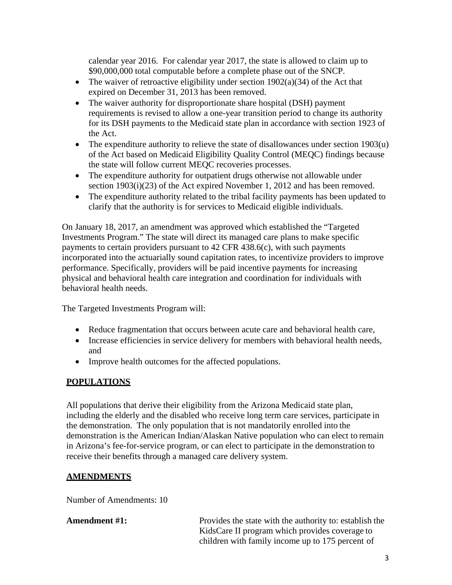calendar year 2016. For calendar year 2017, the state is allowed to claim up to \$90,000,000 total computable before a complete phase out of the SNCP.

- The waiver of retroactive eligibility under section  $1902(a)(34)$  of the Act that expired on December 31, 2013 has been removed.
- The waiver authority for disproportionate share hospital (DSH) payment requirements is revised to allow a one-year transition period to change its authority for its DSH payments to the Medicaid state plan in accordance with section 1923 of the Act.
- The expenditure authority to relieve the state of disallowances under section  $1903(u)$ of the Act based on Medicaid Eligibility Quality Control (MEQC) findings because the state will follow current MEQC recoveries processes.
- The expenditure authority for outpatient drugs otherwise not allowable under section 1903(i)(23) of the Act expired November 1, 2012 and has been removed.
- The expenditure authority related to the tribal facility payments has been updated to clarify that the authority is for services to Medicaid eligible individuals.

On January 18, 2017, an amendment was approved which established the "Targeted Investments Program." The state will direct its managed care plans to make specific payments to certain providers pursuant to 42 CFR 438.6(c), with such payments incorporated into the actuarially sound capitation rates, to incentivize providers to improve performance. Specifically, providers will be paid incentive payments for increasing physical and behavioral health care integration and coordination for individuals with behavioral health needs.

The Targeted Investments Program will:

- Reduce fragmentation that occurs between acute care and behavioral health care,
- Increase efficiencies in service delivery for members with behavioral health needs, and
- Improve health outcomes for the affected populations.

# **POPULATIONS**

All populations that derive their eligibility from the Arizona Medicaid state plan, including the elderly and the disabled who receive long term care services, participate in the demonstration. The only population that is not mandatorily enrolled into the demonstration is the American Indian/Alaskan Native population who can elect to remain in Arizona's fee-for-service program, or can elect to participate in the demonstration to receive their benefits through a managed care delivery system.

# **AMENDMENTS**

Number of Amendments: 10

Amendment #1: Provides the state with the authority to: establish the KidsCare II program which provides coverage to children with family income up to 175 percent of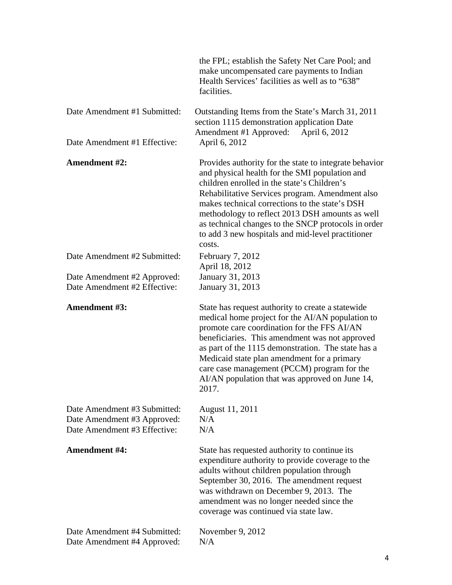|                                                                                             | the FPL; establish the Safety Net Care Pool; and<br>make uncompensated care payments to Indian<br>Health Services' facilities as well as to "638"<br>facilities.                                                                                                                                                                                                                                                                      |
|---------------------------------------------------------------------------------------------|---------------------------------------------------------------------------------------------------------------------------------------------------------------------------------------------------------------------------------------------------------------------------------------------------------------------------------------------------------------------------------------------------------------------------------------|
| Date Amendment #1 Submitted:                                                                | Outstanding Items from the State's March 31, 2011<br>section 1115 demonstration application Date<br>Amendment #1 Approved:<br>April 6, 2012                                                                                                                                                                                                                                                                                           |
| Date Amendment #1 Effective:                                                                | April 6, 2012                                                                                                                                                                                                                                                                                                                                                                                                                         |
| <b>Amendment #2:</b>                                                                        | Provides authority for the state to integrate behavior<br>and physical health for the SMI population and<br>children enrolled in the state's Children's<br>Rehabilitative Services program. Amendment also<br>makes technical corrections to the state's DSH<br>methodology to reflect 2013 DSH amounts as well<br>as technical changes to the SNCP protocols in order<br>to add 3 new hospitals and mid-level practitioner<br>costs. |
| Date Amendment #2 Submitted:                                                                | February 7, 2012<br>April 18, 2012                                                                                                                                                                                                                                                                                                                                                                                                    |
| Date Amendment #2 Approved:<br>Date Amendment #2 Effective:                                 | January 31, 2013<br>January 31, 2013                                                                                                                                                                                                                                                                                                                                                                                                  |
| Amendment #3:                                                                               | State has request authority to create a statewide<br>medical home project for the AI/AN population to<br>promote care coordination for the FFS AI/AN<br>beneficiaries. This amendment was not approved<br>as part of the 1115 demonstration. The state has a<br>Medicaid state plan amendment for a primary<br>care case management (PCCM) program for the<br>AI/AN population that was approved on June 14,<br>2017.                 |
| Date Amendment #3 Submitted:<br>Date Amendment #3 Approved:<br>Date Amendment #3 Effective: | August 11, 2011<br>N/A<br>N/A                                                                                                                                                                                                                                                                                                                                                                                                         |
| <b>Amendment #4:</b>                                                                        | State has requested authority to continue its<br>expenditure authority to provide coverage to the<br>adults without children population through<br>September 30, 2016. The amendment request<br>was withdrawn on December 9, 2013. The<br>amendment was no longer needed since the<br>coverage was continued via state law.                                                                                                           |
| Date Amendment #4 Submitted:<br>Date Amendment #4 Approved:                                 | November 9, 2012<br>N/A                                                                                                                                                                                                                                                                                                                                                                                                               |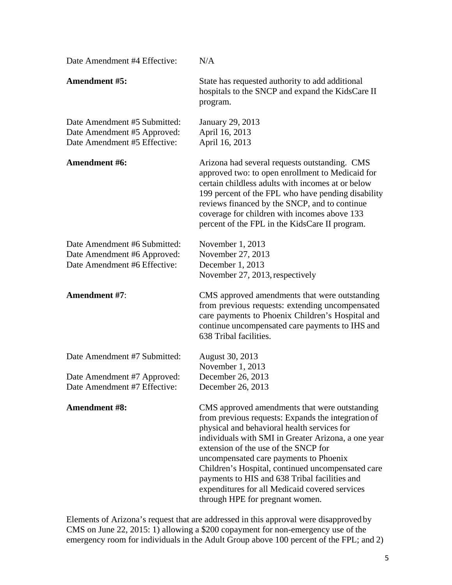| Date Amendment #4 Effective:                                                                | N/A                                                                                                                                                                                                                                                                                                                                                                                                                                                                                    |
|---------------------------------------------------------------------------------------------|----------------------------------------------------------------------------------------------------------------------------------------------------------------------------------------------------------------------------------------------------------------------------------------------------------------------------------------------------------------------------------------------------------------------------------------------------------------------------------------|
| <b>Amendment #5:</b>                                                                        | State has requested authority to add additional<br>hospitals to the SNCP and expand the KidsCare II<br>program.                                                                                                                                                                                                                                                                                                                                                                        |
| Date Amendment #5 Submitted:<br>Date Amendment #5 Approved:<br>Date Amendment #5 Effective: | January 29, 2013<br>April 16, 2013<br>April 16, 2013                                                                                                                                                                                                                                                                                                                                                                                                                                   |
| Amendment #6:                                                                               | Arizona had several requests outstanding. CMS<br>approved two: to open enrollment to Medicaid for<br>certain childless adults with incomes at or below<br>199 percent of the FPL who have pending disability<br>reviews financed by the SNCP, and to continue<br>coverage for children with incomes above 133<br>percent of the FPL in the KidsCare II program.                                                                                                                        |
| Date Amendment #6 Submitted:<br>Date Amendment #6 Approved:<br>Date Amendment #6 Effective: | November 1, 2013<br>November 27, 2013<br>December 1, 2013<br>November 27, 2013, respectively                                                                                                                                                                                                                                                                                                                                                                                           |
| Amendment #7:                                                                               | CMS approved amendments that were outstanding<br>from previous requests: extending uncompensated<br>care payments to Phoenix Children's Hospital and<br>continue uncompensated care payments to IHS and<br>638 Tribal facilities.                                                                                                                                                                                                                                                      |
| Date Amendment #7 Submitted:                                                                | August 30, 2013                                                                                                                                                                                                                                                                                                                                                                                                                                                                        |
| Date Amendment #7 Approved:<br>Date Amendment #7 Effective:                                 | November 1, 2013<br>December 26, 2013<br>December 26, 2013                                                                                                                                                                                                                                                                                                                                                                                                                             |
| <b>Amendment #8:</b>                                                                        | CMS approved amendments that were outstanding<br>from previous requests: Expands the integration of<br>physical and behavioral health services for<br>individuals with SMI in Greater Arizona, a one year<br>extension of the use of the SNCP for<br>uncompensated care payments to Phoenix<br>Children's Hospital, continued uncompensated care<br>payments to HIS and 638 Tribal facilities and<br>expenditures for all Medicaid covered services<br>through HPE for pregnant women. |

Elements of Arizona's request that are addressed in this approval were disapproved by CMS on June 22, 2015: 1) allowing a \$200 copayment for non-emergency use of the emergency room for individuals in the Adult Group above 100 percent of the FPL; and 2)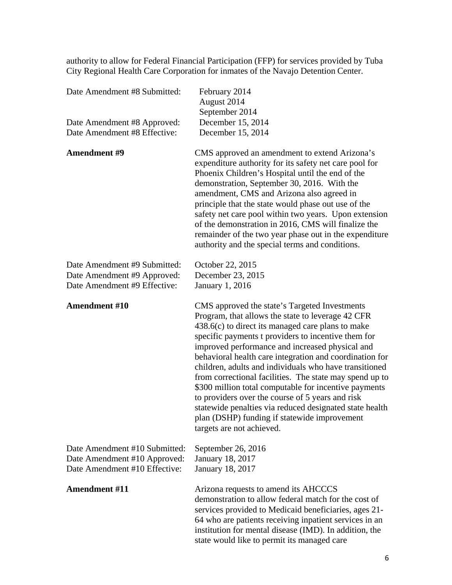authority to allow for Federal Financial Participation (FFP) for services provided by Tuba City Regional Health Care Corporation for inmates of the Navajo Detention Center.

| Date Amendment #8 Submitted:                                                                   | February 2014<br>August 2014<br>September 2014                                                                                                                                                                                                                                                                                                                                                                                                                                                                                                                                                                                                                                                           |
|------------------------------------------------------------------------------------------------|----------------------------------------------------------------------------------------------------------------------------------------------------------------------------------------------------------------------------------------------------------------------------------------------------------------------------------------------------------------------------------------------------------------------------------------------------------------------------------------------------------------------------------------------------------------------------------------------------------------------------------------------------------------------------------------------------------|
| Date Amendment #8 Approved:                                                                    | December 15, 2014                                                                                                                                                                                                                                                                                                                                                                                                                                                                                                                                                                                                                                                                                        |
| Date Amendment #8 Effective:                                                                   | December 15, 2014                                                                                                                                                                                                                                                                                                                                                                                                                                                                                                                                                                                                                                                                                        |
| <b>Amendment #9</b>                                                                            | CMS approved an amendment to extend Arizona's<br>expenditure authority for its safety net care pool for<br>Phoenix Children's Hospital until the end of the<br>demonstration, September 30, 2016. With the<br>amendment, CMS and Arizona also agreed in<br>principle that the state would phase out use of the<br>safety net care pool within two years. Upon extension<br>of the demonstration in 2016, CMS will finalize the<br>remainder of the two year phase out in the expenditure<br>authority and the special terms and conditions.                                                                                                                                                              |
| Date Amendment #9 Submitted:<br>Date Amendment #9 Approved:<br>Date Amendment #9 Effective:    | October 22, 2015<br>December 23, 2015<br><b>January 1, 2016</b>                                                                                                                                                                                                                                                                                                                                                                                                                                                                                                                                                                                                                                          |
| <b>Amendment #10</b>                                                                           | CMS approved the state's Targeted Investments<br>Program, that allows the state to leverage 42 CFR<br>$438.6(c)$ to direct its managed care plans to make<br>specific payments t providers to incentive them for<br>improved performance and increased physical and<br>behavioral health care integration and coordination for<br>children, adults and individuals who have transitioned<br>from correctional facilities. The state may spend up to<br>\$300 million total computable for incentive payments<br>to providers over the course of 5 years and risk<br>statewide penalties via reduced designated state health<br>plan (DSHP) funding if statewide improvement<br>targets are not achieved. |
| Date Amendment #10 Submitted:<br>Date Amendment #10 Approved:<br>Date Amendment #10 Effective: | September 26, 2016<br>January 18, 2017<br><b>January 18, 2017</b>                                                                                                                                                                                                                                                                                                                                                                                                                                                                                                                                                                                                                                        |
| <b>Amendment #11</b>                                                                           | Arizona requests to amend its AHCCCS<br>demonstration to allow federal match for the cost of<br>services provided to Medicaid beneficiaries, ages 21-<br>64 who are patients receiving inpatient services in an<br>institution for mental disease (IMD). In addition, the<br>state would like to permit its managed care                                                                                                                                                                                                                                                                                                                                                                                 |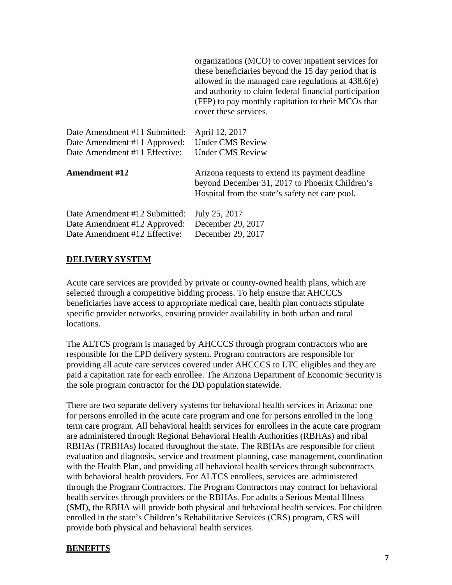|                               | organizations (MCO) to cover inpatient services for<br>these beneficiaries beyond the 15 day period that is<br>allowed in the managed care regulations at $438.6(e)$<br>and authority to claim federal financial participation<br>(FFP) to pay monthly capitation to their MCOs that<br>cover these services. |
|-------------------------------|---------------------------------------------------------------------------------------------------------------------------------------------------------------------------------------------------------------------------------------------------------------------------------------------------------------|
| Date Amendment #11 Submitted: | April 12, 2017                                                                                                                                                                                                                                                                                                |
| Date Amendment #11 Approved:  | <b>Under CMS Review</b>                                                                                                                                                                                                                                                                                       |
| Date Amendment #11 Effective: | <b>Under CMS Review</b>                                                                                                                                                                                                                                                                                       |
| <b>Amendment #12</b>          | Arizona requests to extend its payment deadline<br>beyond December 31, 2017 to Phoenix Children's<br>Hospital from the state's safety net care pool.                                                                                                                                                          |
| Date Amendment #12 Submitted: | July 25, 2017                                                                                                                                                                                                                                                                                                 |
| Date Amendment #12 Approved:  | December 29, 2017                                                                                                                                                                                                                                                                                             |
| Date Amendment #12 Effective: | December 29, 2017                                                                                                                                                                                                                                                                                             |

# **DELIVERY SYSTEM**

Acute care services are provided by private or county-owned health plans, which are selected through a competitive bidding process. To help ensure that AHCCCS beneficiaries have access to appropriate medical care, health plan contracts stipulate specific provider networks, ensuring provider availability in both urban and rural locations.

The ALTCS program is managed by AHCCCS through program contractors who are responsible for the EPD delivery system. Program contractors are responsible for providing all acute care services covered under AHCCCS to LTC eligibles and they are paid a capitation rate for each enrollee. The Arizona Department of Economic Security is the sole program contractor for the DD populationstatewide.

There are two separate delivery systems for behavioral health services in Arizona: one for persons enrolled in the acute care program and one for persons enrolled in the long term care program. All behavioral health services for enrollees in the acute care program are administered through Regional Behavioral Health Authorities (RBHAs) and ribal RBHAs (TRBHAs) located throughout the state. The RBHAs are responsible for client evaluation and diagnosis, service and treatment planning, case management, coordination with the Health Plan, and providing all behavioral health services through subcontracts with behavioral health providers. For ALTCS enrollees, services are administered through the Program Contractors. The Program Contractors may contract for behavioral health services through providers or the RBHAs. For adults a Serious Mental Illness (SMI), the RBHA will provide both physical and behavioral health services. For children enrolled in the state's Children's Rehabilitative Services (CRS) program, CRS will provide both physical and behavioral health services.

### **BENEFITS**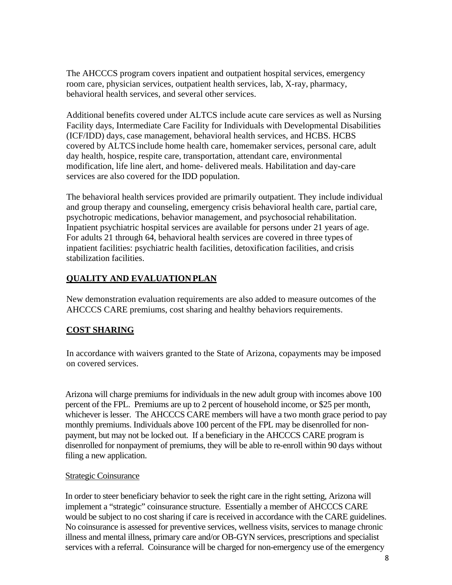The AHCCCS program covers inpatient and outpatient hospital services, emergency room care, physician services, outpatient health services, lab, X-ray, pharmacy, behavioral health services, and several other services.

Additional benefits covered under ALTCS include acute care services as well as Nursing Facility days, Intermediate Care Facility for Individuals with Developmental Disabilities (ICF/IDD) days, case management, behavioral health services, and HCBS. HCBS covered by ALTCSinclude home health care, homemaker services, personal care, adult day health, hospice, respite care, transportation, attendant care, environmental modification, life line alert, and home- delivered meals. Habilitation and day-care services are also covered for the IDD population.

The behavioral health services provided are primarily outpatient. They include individual and group therapy and counseling, emergency crisis behavioral health care, partial care, psychotropic medications, behavior management, and psychosocial rehabilitation. Inpatient psychiatric hospital services are available for persons under 21 years of age. For adults 21 through 64, behavioral health services are covered in three types of inpatient facilities: psychiatric health facilities, detoxification facilities, and crisis stabilization facilities.

# **QUALITY AND EVALUATION PLAN**

New demonstration evaluation requirements are also added to measure outcomes of the AHCCCS CARE premiums, cost sharing and healthy behaviors requirements.

# **COST SHARING**

In accordance with waivers granted to the State of Arizona, copayments may be imposed on covered services.

Arizona will charge premiums for individuals in the new adult group with incomes above 100 percent of the FPL. Premiums are up to 2 percent of household income, or \$25 per month, whichever is lesser. The AHCCCS CARE members will have a two month grace period to pay monthly premiums. Individuals above 100 percent of the FPL may be disenrolled for nonpayment, but may not be locked out. If a beneficiary in the AHCCCS CARE program is disenrolled for nonpayment of premiums, they will be able to re-enroll within 90 days without filing a new application.

## Strategic Coinsurance

In order to steer beneficiary behavior to seek the right care in the right setting, Arizona will implement a "strategic" coinsurance structure. Essentially a member of AHCCCS CARE would be subject to no cost sharing if care is received in accordance with the CARE guidelines. No coinsurance is assessed for preventive services, wellness visits, services to manage chronic illness and mental illness, primary care and/or OB-GYN services, prescriptions and specialist services with a referral. Coinsurance will be charged for non-emergency use of the emergency